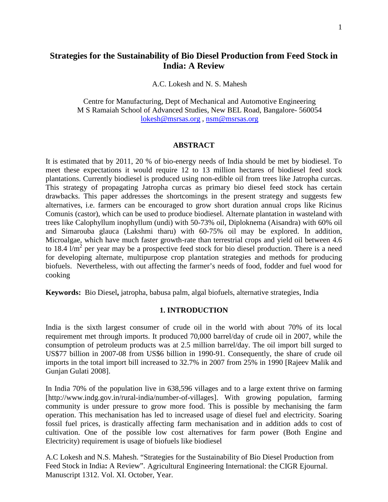# **Strategies for the Sustainability of Bio Diesel Production from Feed Stock in India: A Review**

A.C. Lokesh and N. S. Mahesh

Centre for Manufacturing, Dept of Mechanical and Automotive Engineering M S Ramaiah School of Advanced Studies, New BEL Road, Bangalore- 560054 [lokesh@msrsas.org](mailto:lokesh@msrsas.org) , [nsm@msrsas.org](mailto:nsm@msrsas.org)

#### **ABSTRACT**

It is estimated that by 2011, 20 % of bio-energy needs of India should be met by biodiesel. To meet these expectations it would require 12 to 13 million hectares of biodiesel feed stock plantations. Currently biodiesel is produced using non-edible oil from trees like Jatropha curcas. This strategy of propagating Jatropha curcas as primary bio diesel feed stock has certain drawbacks. This paper addresses the shortcomings in the present strategy and suggests few alternatives, i.e. farmers can be encouraged to grow short duration annual crops like Ricinus Comunis (castor), which can be used to produce biodiesel. Alternate plantation in wasteland with trees like Calophyllum inophyllum (undi) with 50-73% oil, Diploknema (Aisandra) with 60% oil and Simarouba glauca (Lakshmi tharu) with 60-75% oil may be explored. In addition, Microalgae, which have much faster growth-rate than terrestrial crops and yield oil between 4.6 to 18.4  $\text{Im}^2$  per year may be a prospective feed stock for bio diesel production. There is a need for developing alternate, multipurpose crop plantation strategies and methods for producing biofuels. Nevertheless, with out affecting the farmer's needs of food, fodder and fuel wood for cooking

**Keywords:** Bio Diesel**,** jatropha, babusa palm, algal biofuels, alternative strategies, India

#### **1. INTRODUCTION**

India is the sixth largest consumer of crude oil in the world with about 70% of its local requirement met through imports. It produced 70,000 barrel/day of crude oil in 2007, while the consumption of petroleum products was at 2.5 million barrel/day. The oil import bill surged to US\$77 billion in 2007-08 from US\$6 billion in 1990-91. Consequently, the share of crude oil imports in the total import bill increased to 32.7% in 2007 from 25% in 1990 [Rajeev Malik and Gunjan Gulati 2008].

In India 70% of the population live in 638,596 villages and to a large extent thrive on farming [http://www.indg.gov.in/rural-india/number-of-villages]. With growing population, farming community is under pressure to grow more food. This is possible by mechanising the farm operation. This mechanisation has led to increased usage of diesel fuel and electricity. Soaring fossil fuel prices, is drastically affecting farm mechanisation and in addition adds to cost of cultivation. One of the possible low cost alternatives for farm power (Both Engine and Electricity) requirement is usage of biofuels like biodiesel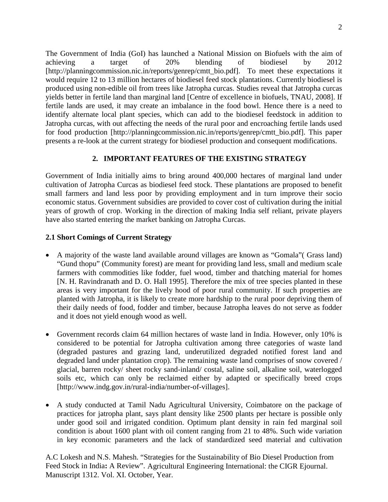The Government of India (GoI) has launched a National Mission on Biofuels with the aim of achieving a target of 20% blending of biodiesel by 2012 [http://planningcommission.nic.in/reports/genrep/cmtt\_bio.pdf]. To meet these expectations it would require 12 to 13 million hectares of biodiesel feed stock plantations. Currently biodiesel is produced using non-edible oil from trees like Jatropha curcas. Studies reveal that Jatropha curcas yields better in fertile land than marginal land [Centre of excellence in biofuels, TNAU, 2008]. If fertile lands are used, it may create an imbalance in the food bowl. Hence there is a need to identify alternate local plant species, which can add to the biodiesel feedstock in addition to Jatropha curcas, with out affecting the needs of the rural poor and encroaching fertile lands used for food production [http://planningcommission.nic.in/reports/genrep/cmtt\_bio.pdf]. This paper presents a re-look at the current strategy for biodiesel production and consequent modifications.

## **2. IMPORTANT FEATURES OF THE EXISTING STRATEGY**

Government of India initially aims to bring around 400,000 hectares of marginal land under cultivation of Jatropha Curcas as biodiesel feed stock. These plantations are proposed to benefit small farmers and land less poor by providing employment and in turn improve their socio economic status. Government subsidies are provided to cover cost of cultivation during the initial years of growth of crop. Working in the direction of making India self reliant, private players have also started entering the market banking on Jatropha Curcas.

### **2.1 Short Comings of Current Strategy**

- A majority of the waste land available around villages are known as "Gomala" (Grass land) "Gund thopu" (Community forest) are meant for providing land less, small and medium scale farmers with commodities like fodder, fuel wood, timber and thatching material for homes [N. H. Ravindranath and D. O. Hall 1995]. Therefore the mix of tree species planted in these areas is very important for the lively hood of poor rural community. If such properties are planted with Jatropha, it is likely to create more hardship to the rural poor depriving them of their daily needs of food, fodder and timber, because Jatropha leaves do not serve as fodder and it does not yield enough wood as well.
- Government records claim 64 million hectares of waste land in India. However, only 10% is considered to be potential for Jatropha cultivation among three categories of waste land (degraded pastures and grazing land, underutilized degraded notified forest land and degraded land under plantation crop). The remaining waste land comprises of snow covered / glacial, barren rocky/ sheet rocky sand-inland/ costal, saline soil, alkaline soil, waterlogged soils etc, which can only be reclaimed either by adapted or specifically breed crops [http://www.indg.gov.in/rural-india/number-of-villages].
- A study conducted at Tamil Nadu Agricultural University, Coimbatore on the package of practices for jatropha plant, says plant density like 2500 plants per hectare is possible only under good soil and irrigated condition. Optimum plant density in rain fed marginal soil condition is about 1600 plant with oil content ranging from 21 to 48%. Such wide variation in key economic parameters and the lack of standardized seed material and cultivation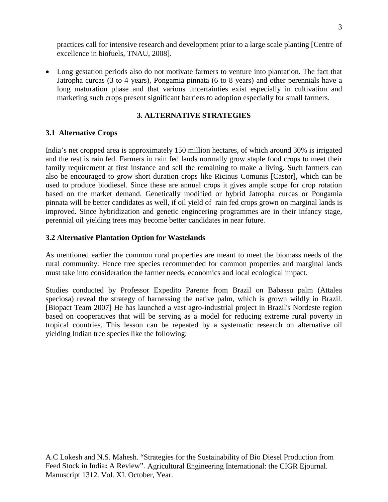practices call for intensive research and development prior to a large scale planting [Centre of excellence in biofuels, TNAU, 2008].

• Long gestation periods also do not motivate farmers to venture into plantation. The fact that Jatropha curcas (3 to 4 years), Pongamia pinnata (6 to 8 years) and other perennials have a long maturation phase and that various uncertainties exist especially in cultivation and marketing such crops present significant barriers to adoption especially for small farmers.

### **3. ALTERNATIVE STRATEGIES**

### **3.1 Alternative Crops**

India's net cropped area is approximately 150 million hectares, of which around 30% is irrigated and the rest is rain fed. Farmers in rain fed lands normally grow staple food crops to meet their family requirement at first instance and sell the remaining to make a living. Such farmers can also be encouraged to grow short duration crops like Ricinus Comunis [Castor], which can be used to produce biodiesel. Since these are annual crops it gives ample scope for crop rotation based on the market demand. Genetically modified or hybrid Jatropha curcas or Pongamia pinnata will be better candidates as well, if oil yield of rain fed crops grown on marginal lands is improved. Since hybridization and genetic engineering programmes are in their infancy stage, perennial oil yielding trees may become better candidates in near future.

### **3.2 Alternative Plantation Option for Wastelands**

As mentioned earlier the common rural properties are meant to meet the biomass needs of the rural community. Hence tree species recommended for common properties and marginal lands must take into consideration the farmer needs, economics and local ecological impact.

Studies conducted by Professor Expedito Parente from Brazil on Babassu palm (Attalea speciosa) reveal the strategy of harnessing the native palm, which is grown wildly in Brazil. [Biopact Team 2007] He has launched a vast agro-industrial project in Brazil's Nordeste region based on cooperatives that will be serving as a model for reducing extreme rural poverty in tropical countries. This lesson can be repeated by a systematic research on alternative oil yielding Indian tree species like the following: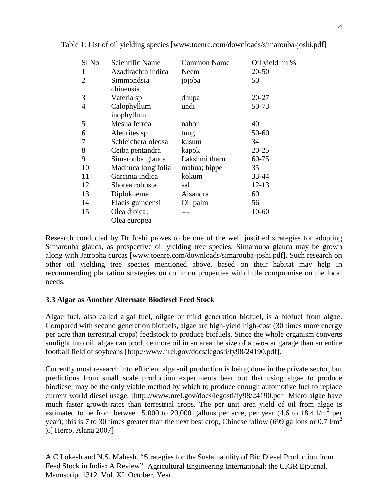| Sl No          | <b>Scientific Name</b> | <b>Common Name</b> | Oil yield in % |
|----------------|------------------------|--------------------|----------------|
| 1              | Azadirachta indica     | Neem               | $20 - 50$      |
| $\overline{2}$ | Simmondsia             | jojoba             | 50             |
|                | chinensis              |                    |                |
| 3              | Vateria sp             | dhupa              | 20-27          |
| $\overline{4}$ | Calophyllum            | undi               | 50-73          |
|                | inophyllum             |                    |                |
| 5              | Mesua ferrea           | nahor              | 40             |
| 6              | Aleurites sp           | tung               | 50-60          |
|                | Schleichera oleosa     | kusum              | 34             |
| 8              | Ceiba pentandra        | kapok              | $20 - 25$      |
| 9              | Simarouba glauca       | Lakshmi tharu      | 60-75          |
| 10             | Madhuca longifolia     | mahua; hippe       | 35             |
| 11             | Garcinia indica        | kokum              | 33-44          |
| 12             | Shorea robusta         | sal                | $12 - 13$      |
| 13             | Diploknema             | Aisandra           | 60             |
| 14             | Elaeis guineensi       | Oil palm           | 56             |
| 15             | Olea dioica;           |                    | 10-60          |
|                | Olea europea           |                    |                |

Table 1: List of oil yielding species [www.toenre.com/downloads/simarouba-joshi.pdf]

Research conducted by Dr Joshi proves to be one of the well justified strategies for adopting Simarouba glauca, as prospective oil yielding tree species. Simarouba glauca may be grown along with Jatropha curcas [www.toenre.com/downloads/simarouba-joshi.pdf]. Such research on other oil yielding tree species mentioned above, based on their habitat may help in recommending plantation strategies on common properties with little compromise on the local needs.

#### **3.3 Algae as Another Alternate Biodiesel Feed Stock**

Algae fuel, also called algal fuel, oilgae or third generation biofuel, is a biofuel from algae. Compared with second generation biofuels, algae are high-yield high-cost (30 times more energy per acre than terrestrial crops) feedstock to produce biofuels. Since the whole organism converts sunlight into oil, algae can produce more oil in an area the size of a two-car garage than an entire football field of soybeans [http://www.nrel.gov/docs/legosti/fy98/24190.pdf].

Currently most research into efficient algal-oil production is being done in the private sector, but predictions from small scale production experiments bear out that using algae to produce biodiesel may be the only viable method by which to produce enough automotive fuel to replace current world diesel usage. [http://www.nrel.gov/docs/legosti/fy98/24190.pdf] Micro algae have much faster growth-rates than terrestrial crops. The per unit area yield of oil from algae is estimated to be from between 5,000 to 20,000 gallons per acre, per year  $(4.6 \text{ to } 18.4 \text{ l/m}^2 \text{ per})$ year); this is 7 to 30 times greater than the next best crop, Chinese tallow (699 gallons or 0.7  $1/m^2$ ).[ Herro, Alana 2007]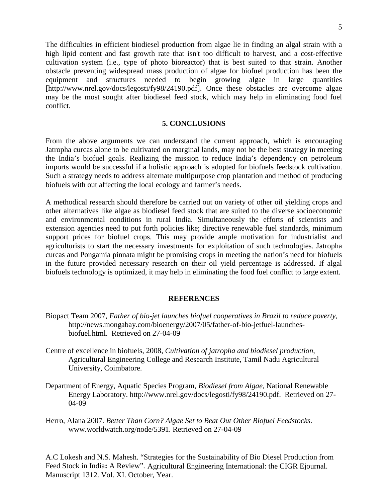The difficulties in efficient biodiesel production from algae lie in finding an algal strain with a high lipid content and fast growth rate that isn't too difficult to harvest, and a cost-effective cultivation system (i.e., type of photo bioreactor) that is best suited to that strain. Another obstacle preventing widespread mass production of algae for biofuel production has been the equipment and structures needed to begin growing algae in large quantities [http://www.nrel.gov/docs/legosti/fy98/24190.pdf]. Once these obstacles are overcome algae may be the most sought after biodiesel feed stock, which may help in eliminating food fuel conflict.

#### **5. CONCLUSIONS**

From the above arguments we can understand the current approach, which is encouraging Jatropha curcas alone to be cultivated on marginal lands, may not be the best strategy in meeting the India's biofuel goals. Realizing the mission to reduce India's dependency on petroleum imports would be successful if a holistic approach is adopted for biofuels feedstock cultivation. Such a strategy needs to address alternate multipurpose crop plantation and method of producing biofuels with out affecting the local ecology and farmer's needs.

A methodical research should therefore be carried out on variety of other oil yielding crops and other alternatives like algae as biodiesel feed stock that are suited to the diverse socioeconomic and environmental conditions in rural India. Simultaneously the efforts of scientists and extension agencies need to put forth policies like; directive renewable fuel standards, minimum support prices for biofuel crops. This may provide ample motivation for industrialist and agriculturists to start the necessary investments for exploitation of such technologies. Jatropha curcas and Pongamia pinnata might be promising crops in meeting the nation's need for biofuels in the future provided necessary research on their oil yield percentage is addressed. If algal biofuels technology is optimized, it may help in eliminating the food fuel conflict to large extent.

#### **REFERENCES**

- Biopact Team 2007, *Father of bio-jet launches biofuel cooperatives in Brazil to reduce poverty,* http://news.mongabay.com/bioenergy/2007/05/father-of-bio-jetfuel-launchesbiofuel.html. Retrieved on 27-04-09
- Centre of excellence in biofuels, 2008, *Cultivation of jatropha and biodiesel production*, Agricultural Engineering College and Research Institute, Tamil Nadu Agricultural University, Coimbatore.
- Department of Energy, Aquatic Species Program, *Biodiesel from Algae*, National Renewable Energy Laboratory. http://www.nrel.gov/docs/legosti/fy98/24190.pdf. Retrieved on 27- 04-09
- Herro, Alana 2007. *Better Than Corn? Algae Set to Beat Out Other Biofuel Feedstocks*. www.worldwatch.org/node/5391. Retrieved on 27-04-09